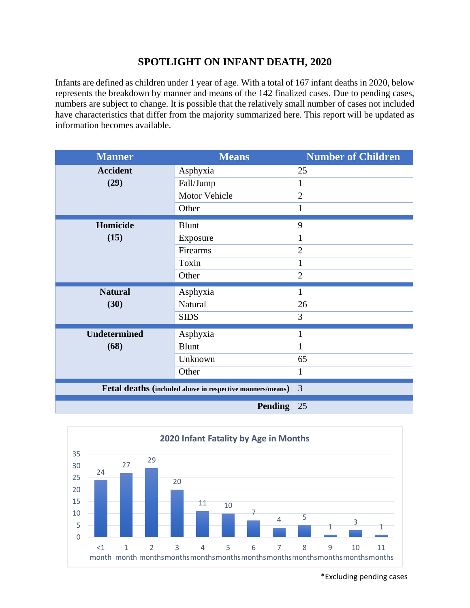## **SPOTLIGHT ON INFANT DEATH, 2020**

Infants are defined as children under 1 year of age. With a total of 167 infant deaths in 2020, below represents the breakdown by manner and means of the 142 finalized cases. Due to pending cases, numbers are subject to change. It is possible that the relatively small number of cases not included have characteristics that differ from the majority summarized here. This report will be updated as information becomes available.

| <b>Manner</b>                                             | <b>Means</b>   | <b>Number of Children</b> |
|-----------------------------------------------------------|----------------|---------------------------|
| <b>Accident</b>                                           | Asphyxia       | 25                        |
| (29)                                                      | Fall/Jump      | 1                         |
|                                                           | Motor Vehicle  | $\overline{2}$            |
|                                                           | Other          | 1                         |
| Homicide<br>(15)                                          | <b>Blunt</b>   | 9                         |
|                                                           | Exposure       | $\mathbf{1}$              |
|                                                           | Firearms       | $\overline{2}$            |
|                                                           | Toxin          | $\mathbf{1}$              |
|                                                           | Other          | $\overline{2}$            |
| <b>Natural</b>                                            | Asphyxia       | 1                         |
| (30)                                                      | Natural        | 26                        |
|                                                           | <b>SIDS</b>    | 3                         |
| <b>Undetermined</b>                                       | Asphyxia       | $\mathbf{1}$              |
| (68)                                                      | Blunt          | $\mathbf{1}$              |
|                                                           | Unknown        | 65                        |
|                                                           | Other          | $\mathbf{1}$              |
| Fetal deaths (included above in respective manners/means) |                | 3                         |
|                                                           | <b>Pending</b> | 25                        |



\*Excluding pending cases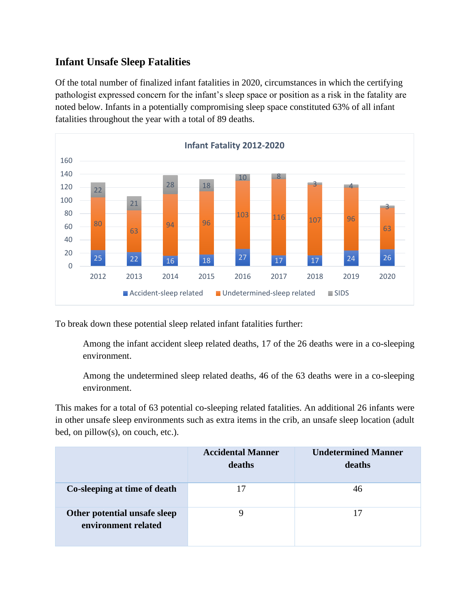## **Infant Unsafe Sleep Fatalities**

Of the total number of finalized infant fatalities in 2020, circumstances in which the certifying pathologist expressed concern for the infant's sleep space or position as a risk in the fatality are noted below. Infants in a potentially compromising sleep space constituted 63% of all infant fatalities throughout the year with a total of 89 deaths.



To break down these potential sleep related infant fatalities further:

Among the infant accident sleep related deaths, 17 of the 26 deaths were in a co-sleeping environment.

Among the undetermined sleep related deaths, 46 of the 63 deaths were in a co-sleeping environment.

This makes for a total of 63 potential co-sleeping related fatalities. An additional 26 infants were in other unsafe sleep environments such as extra items in the crib, an unsafe sleep location (adult bed, on pillow(s), on couch, etc.).

|                                                     | <b>Accidental Manner</b><br>deaths | <b>Undetermined Manner</b><br>deaths |
|-----------------------------------------------------|------------------------------------|--------------------------------------|
| Co-sleeping at time of death                        | 17                                 | 46                                   |
| Other potential unsafe sleep<br>environment related |                                    | 17                                   |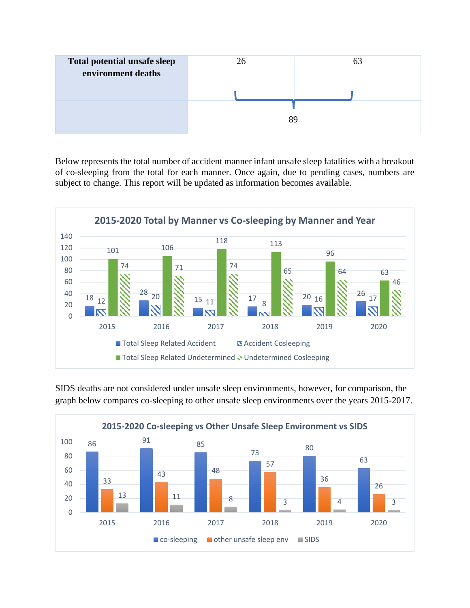

Below represents the total number of accident manner infant unsafe sleep fatalities with a breakout of co-sleeping from the total for each manner. Once again, due to pending cases, numbers are subject to change. This report will be updated as information becomes available.



SIDS deaths are not considered under unsafe sleep environments, however, for comparison, the graph below compares co-sleeping to other unsafe sleep environments over the years 2015-2017.